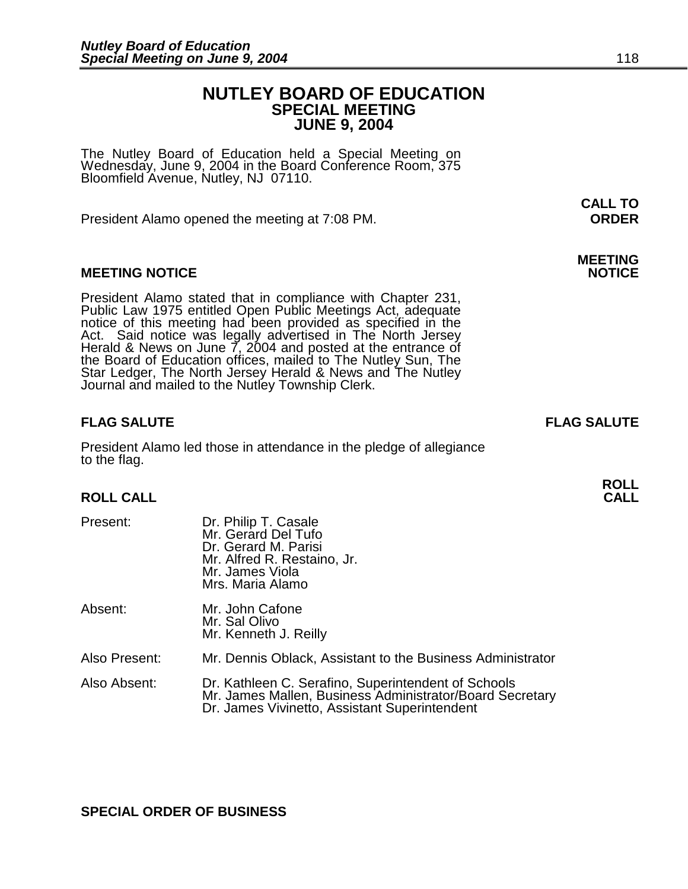# **NUTLEY BOARD OF EDUCATION SPECIAL MEETING JUNE 9, 2004**

The Nutley Board of Education held a Special Meeting on Wednesday, June 9, 2004 in the Board Conference Room, 375 Bloomfield Avenue, Nutley, NJ 07110.

President Alamo opened the meeting at 7:08 PM. **ORDER**

# **MEETING NOTICE**

President Alamo stated that in compliance with Chapter 231, Public Law 1975 entitled Open Public Meetings Act, adequate notice of this meeting had been provided as specified in the Act. Said notice was legally advertised in The North Jersey Herald & News on June  $\overline{7}$ , 2004 and posted at the entrance of the Board of Education offices, mailed to The Nutley Sun, The Star Ledger, The North Jersey Herald & News and The Nutley Journal and mailed to the Nutley Township Clerk.

### **FLAG SALUTE FLAG SALUTE**

President Alamo led those in attendance in the pledge of allegiance to the flag.

# **ROLL CALL**

| Present:      | Dr. Philip T. Casale<br>Mr. Gerard Del Tufo<br>Dr. Gerard M. Parisi<br>Mr. Alfred R. Restaino, Jr.<br>Mr. James Viola<br>Mrs. Maria Alamo                        |
|---------------|------------------------------------------------------------------------------------------------------------------------------------------------------------------|
| Absent:       | Mr. John Cafone<br>Mr. Sal Olivo<br>Mr. Kenneth J. Reilly                                                                                                        |
| Also Present: | Mr. Dennis Oblack, Assistant to the Business Administrator                                                                                                       |
| Also Absent:  | Dr. Kathleen C. Serafino, Superintendent of Schools<br>Mr. James Mallen, Business Administrator/Board Secretary<br>Dr. James Vivinetto, Assistant Superintendent |

**CALL TO** 

# **MEETING**

**ROLL**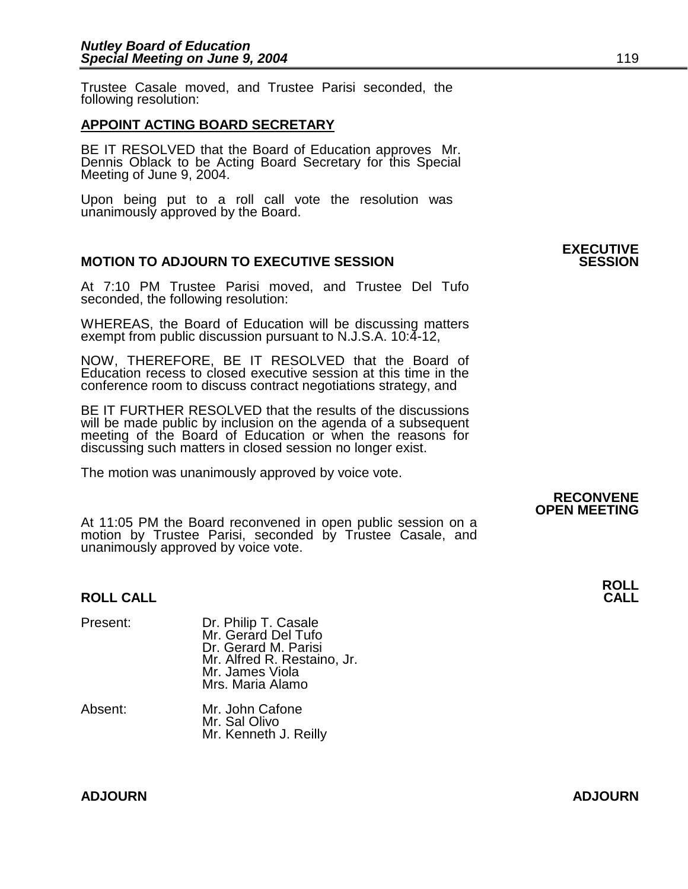Trustee Casale moved, and Trustee Parisi seconded, the following resolution:

# **APPOINT ACTING BOARD SECRETARY**

BE IT RESOLVED that the Board of Education approves Mr. Dennis Oblack to be Acting Board Secretary for this Special Meeting of June 9, 2004.

Upon being put to a roll call vote the resolution was unanimously approved by the Board.

# **MOTION TO ADJOURN TO EXECUTIVE SESSION**

At 7:10 PM Trustee Parisi moved, and Trustee Del Tufo seconded, the following resolution:

WHEREAS, the Board of Education will be discussing matters exempt from public discussion pursuant to N.J.S.A. 10:4-12,

NOW, THEREFORE, BE IT RESOLVED that the Board of Education recess to closed executive session at this time in the conference room to discuss contract negotiations strategy, and

BE IT FURTHER RESOLVED that the results of the discussions will be made public by inclusion on the agenda of a subsequent meeting of the Board of Education or when the reasons for discussing such matters in closed session no longer exist.

The motion was unanimously approved by voice vote.

At 11:05 PM the Board reconvened in open public session on a motion by Trustee Parisi, seconded by Trustee Casale, and unanimously approved by voice vote.

### **ROLL CALL**

| Present: | Dr. Philip T. Casale<br>Mr. Gerard Del Tufo<br>Dr. Gerard M. Parisi<br>Mr. Alfred R. Restaino, Jr.<br>Mr. James Viola |
|----------|-----------------------------------------------------------------------------------------------------------------------|
|          | Mrs. Maria Alamo                                                                                                      |

| Absent: | Mr. John Cafone       |
|---------|-----------------------|
|         | Mr. Sal Olivo         |
|         | Mr. Kenneth J. Reilly |
|         |                       |

**RECONVENE OPEN MEETING** 

**ROLL**